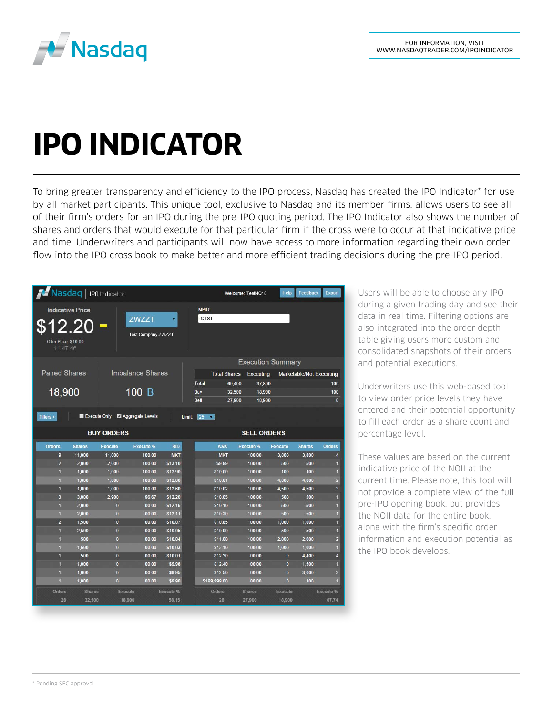

## **IPO INDICATOR**

To bring greater transparency and efficiency to the IPO process, Nasdaq has created the IPO Indicator\* for use by all market participants. This unique tool, exclusive to Nasdaq and its member firms, allows users to see all of their firm's orders for an IPO during the pre-IPO quoting period. The IPO Indicator also shows the number of shares and orders that would execute for that particular firm if the cross were to occur at that indicative price and time. Underwriters and participants will now have access to more information regarding their own order flow into the IPO cross book to make better and more efficient trading decisions during the pre-IPO period.

| Masdaq   IPO Indicator                                                                                                   |                         |                   |                     |                           |                  |                                 | Welcome: TestNQ18       | Help                     | Feedback      | Export                    |
|--------------------------------------------------------------------------------------------------------------------------|-------------------------|-------------------|---------------------|---------------------------|------------------|---------------------------------|-------------------------|--------------------------|---------------|---------------------------|
| <b>Indicative Price</b><br><b>ZWZZT</b><br>۰<br>\$12.20<br><b>Test Company ZWZZT</b><br>Offer Price: \$10.00<br>11:47:46 |                         |                   |                     |                           |                  | MPID:<br>QTST                   |                         |                          |               |                           |
|                                                                                                                          |                         |                   |                     |                           |                  |                                 |                         | <b>Execution Summary</b> |               |                           |
| <b>Paired Shares</b><br><b>Imbalance Shares</b>                                                                          |                         |                   | <b>Total Shares</b> | Executing                 |                  | <b>Marketable/Not Executing</b> |                         |                          |               |                           |
|                                                                                                                          |                         |                   |                     |                           | <b>Total</b>     | 60,400<br>37,800                |                         |                          | 100           |                           |
| 18,900<br>100 B                                                                                                          |                         |                   |                     | <b>Buy</b>                | 32,500<br>18,900 |                                 |                         | 100                      |               |                           |
|                                                                                                                          |                         |                   |                     | Sell                      | 27,900<br>18,900 |                                 |                         | $\mathbf{0}$             |               |                           |
| 2 Aggregate Levels<br>Execute Only<br>$25 - 7$<br>Filters +<br>Limit                                                     |                         |                   |                     |                           |                  |                                 |                         |                          |               |                           |
| <b>BUY ORDERS</b>                                                                                                        |                         |                   |                     |                           |                  |                                 | <b>SELL ORDERS</b>      |                          |               |                           |
| <b>Orders</b>                                                                                                            | <b>Shares</b>           | <b>Execute</b>    | <b>Execute %</b>    | <b>BID</b>                |                  | <b>ASK</b>                      | <b>Execute %</b>        | <b>Execute</b>           | <b>Shares</b> | <b>Orders</b>             |
| 9                                                                                                                        | 11,000                  | 11,000            | 100.00              | <b>MKT</b>                |                  | <b>MKT</b>                      | 100.00                  | 3.800                    | 3.800         | 4                         |
| $\overline{2}$                                                                                                           | 2,000                   | 2,000             | 100.00              | \$13.10                   |                  | \$9.99                          | 100.00                  | 500                      | 500           | $\ddot{\phantom{a}}$      |
| $\ddagger$                                                                                                               | 1,000                   | 1,000             | 100.00              | \$12.90                   |                  | \$10.00                         | 100.00                  | 100                      | 100           | $\mathbf{1}$              |
| $\ddagger$                                                                                                               | 1,000                   | 1,000             | 100.00              | \$12.80                   |                  | \$10.01                         | 100.00                  | 4,000                    | 4,000         | $\overline{2}$            |
| $\overline{1}$                                                                                                           | 1,000                   | 1,000             | 100.00              | \$12.60                   |                  | \$10.02                         | 100.00                  | 4,500                    | 4,500         | $\overline{\mathbf{3}}$   |
| $\overline{\mathbf{3}}$                                                                                                  | 3.000                   | 2,900             | 96.67               | \$12.20                   |                  | \$10.05                         | 100.00                  | 500                      | 500           | 1                         |
| 1                                                                                                                        | 2,000                   | $\bf{0}$          | 00.00               | \$12.15                   |                  | \$10.10                         | 100.00                  | 500                      | 500           | $\blacksquare$            |
| $\mathbf{1}$                                                                                                             | 2,000                   | $\bf{0}$          | 00.00               | \$12.11                   |                  | \$10.20                         | 100.00                  | 500                      | 500           | $\mathbf{1}$              |
| $\overline{2}$                                                                                                           | 1.500                   | $\bf{0}$          | 00.00               | \$10.07                   |                  | \$10.85                         | 100.00                  | 1,000                    | 1,000         | $\overline{\mathbf{1}}$   |
| $\mathbf{1}$                                                                                                             | 2.500                   | $\overline{0}$    | 00.00               | \$10.05                   |                  | \$10.90                         | 100.00                  | 500                      | 500           | $\mathbf{1}$              |
| $\mathbf{1}$                                                                                                             | 500                     | $\bf{0}$          | 00.00               | \$10.04                   |                  | \$11.00                         | 100.00                  | 2.000                    | 2.000         | $\overline{2}$            |
| 1                                                                                                                        | 1.500                   | $\overline{0}$    | 00.00               | \$1003                    |                  | \$12.10                         | 100.00                  | 1,000                    | 1.000         | $\mathbf{1}$              |
| $\overline{\mathbf{1}}$                                                                                                  | 500                     | $\bf{0}$          | 00.00               | \$10.01                   |                  | \$12.30                         | 00.00                   | $\bf{0}$                 | 4.400         | 4                         |
| $\mathbf{1}$                                                                                                             | 1.000                   | $\bf{0}$          | 00.00               | \$9.98                    |                  | \$12.40                         | 00.00                   | $\mathbf{0}$             | 1,500         | 1                         |
| $\mathbf{1}$                                                                                                             | 1.000                   | $\bf{0}$          | 00.00               | \$9.95                    |                  | \$12.50                         | 00.00                   | $\mathbf{0}$             | 3.000         | $\overline{3}$            |
| $\mathbf{1}$                                                                                                             | 1.000                   | $\bf{0}$          | 00.00               | \$9.90                    |                  | \$199,999.00                    | 00.00                   | $\mathbf{0}$             | 100           | $\mathbf{1}$              |
| <b>Orders</b><br>28                                                                                                      | <b>Shares</b><br>32,500 | Execute<br>18,900 |                     | <b>Execute %</b><br>58.15 |                  | Orders<br>28                    | <b>Shares</b><br>27,900 | Execute<br>18,900        |               | <b>Execute %</b><br>67.74 |

Users will be able to choose any IPO during a given trading day and see their data in real time. Filtering options are also integrated into the order depth table giving users more custom and consolidated snapshots of their orders and potential executions.

Underwriters use this web-based tool to view order price levels they have entered and their potential opportunity to fill each order as a share count and percentage level.

These values are based on the current indicative price of the NOII at the current time. Please note, this tool will not provide a complete view of the full pre-IPO opening book, but provides the NOII data for the entire book, along with the firm's specific order information and execution potential as the IPO book develops.